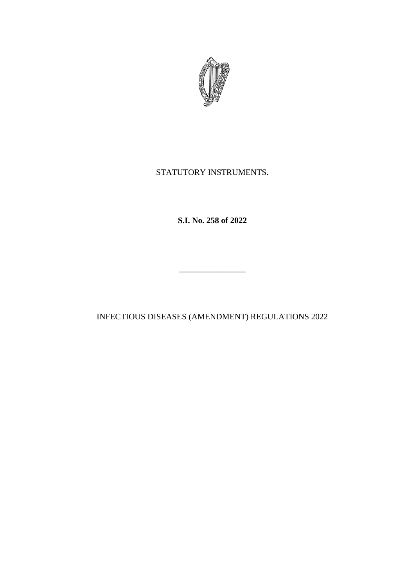

# STATUTORY INSTRUMENTS.

**S.I. No. 258 of 2022**

INFECTIOUS DISEASES (AMENDMENT) REGULATIONS 2022

\_\_\_\_\_\_\_\_\_\_\_\_\_\_\_\_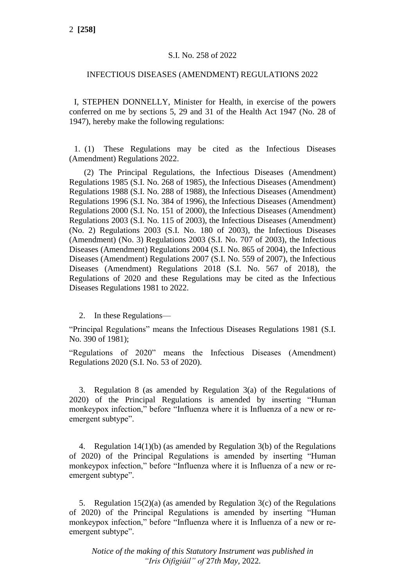### S.I. No. 258 of 2022

#### INFECTIOUS DISEASES (AMENDMENT) REGULATIONS 2022

I, STEPHEN DONNELLY, Minister for Health, in exercise of the powers conferred on me by sections 5, 29 and 31 of the Health Act 1947 (No. 28 of 1947), hereby make the following regulations:

1. (1) These Regulations may be cited as the Infectious Diseases (Amendment) Regulations 2022.

(2) The Principal Regulations, the Infectious Diseases (Amendment) Regulations 1985 (S.I. No. 268 of 1985), the Infectious Diseases (Amendment) Regulations 1988 (S.I. No. 288 of 1988), the Infectious Diseases (Amendment) Regulations 1996 (S.I. No. 384 of 1996), the Infectious Diseases (Amendment) Regulations 2000 (S.I. No. 151 of 2000), the Infectious Diseases (Amendment) Regulations 2003 (S.I. No. 115 of 2003), the Infectious Diseases (Amendment) (No. 2) Regulations 2003 (S.I. No. 180 of 2003), the Infectious Diseases (Amendment) (No. 3) Regulations 2003 (S.I. No. 707 of 2003), the Infectious Diseases (Amendment) Regulations 2004 (S.I. No. 865 of 2004), the Infectious Diseases (Amendment) Regulations 2007 (S.I. No. 559 of 2007), the Infectious Diseases (Amendment) Regulations 2018 (S.I. No. 567 of 2018), the Regulations of 2020 and these Regulations may be cited as the Infectious Diseases Regulations 1981 to 2022.

2. In these Regulations—

"Principal Regulations" means the Infectious Diseases Regulations 1981 (S.I. No. 390 of 1981);

"Regulations of 2020" means the Infectious Diseases (Amendment) Regulations 2020 (S.I. No. 53 of 2020).

3. Regulation 8 (as amended by Regulation 3(a) of the Regulations of 2020) of the Principal Regulations is amended by inserting "Human monkeypox infection," before "Influenza where it is Influenza of a new or reemergent subtype".

4. Regulation 14(1)(b) (as amended by Regulation 3(b) of the Regulations of 2020) of the Principal Regulations is amended by inserting "Human monkeypox infection," before "Influenza where it is Influenza of a new or reemergent subtype".

5. Regulation  $15(2)(a)$  (as amended by Regulation  $3(c)$  of the Regulations of 2020) of the Principal Regulations is amended by inserting "Human monkeypox infection," before "Influenza where it is Influenza of a new or reemergent subtype".

*Notice of the making of this Statutory Instrument was published in "Iris Oifigiúil" of* 27*th May,* 2022*.*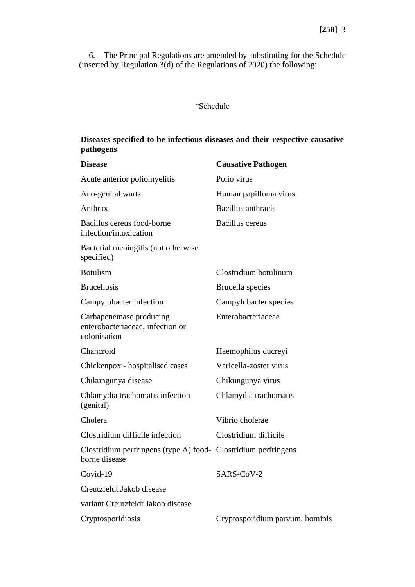6. The Principal Regulations are amended by substituting for the Schedule (inserted by Regulation  $3(d)$  of the Regulations of 2020) the following:

## "Schedule

## **Diseases specified to be infectious diseases and their respective causative pathogens**

| <b>Disease</b>                                                                  | <b>Causative Pathogen</b>       |
|---------------------------------------------------------------------------------|---------------------------------|
| Acute anterior poliomyelitis                                                    | Polio virus                     |
| Ano-genital warts                                                               | Human papilloma virus           |
| Anthrax                                                                         | Bacillus anthracis              |
| Bacillus cereus food-borne<br>infection/intoxication                            | <b>Bacillus</b> cereus          |
| Bacterial meningitis (not otherwise<br>specified)                               |                                 |
| <b>Botulism</b>                                                                 | Clostridium botulinum           |
| <b>Brucellosis</b>                                                              | Brucella species                |
| Campylobacter infection                                                         | Campylobacter species           |
| Carbapenemase producing<br>enterobacteriaceae, infection or<br>colonisation     | Enterobacteriaceae              |
| Chancroid                                                                       | Haemophilus ducreyi             |
| Chickenpox - hospitalised cases                                                 | Varicella-zoster virus          |
| Chikungunya disease                                                             | Chikungunya virus               |
| Chlamydia trachomatis infection<br>(genital)                                    | Chlamydia trachomatis           |
| Cholera                                                                         | Vibrio cholerae                 |
| Clostridium difficile infection                                                 | Clostridium difficile           |
| Clostridium perfringens (type A) food- Clostridium perfringens<br>borne disease |                                 |
| Covid-19                                                                        | SARS-CoV-2                      |
| Creutzfeldt Jakob disease                                                       |                                 |
| variant Creutzfeldt Jakob disease                                               |                                 |
| Cryptosporidiosis                                                               | Cryptosporidium parvum, hominis |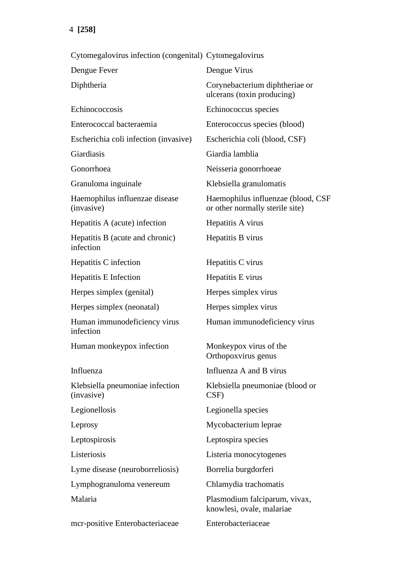4 **[258]**

Cytomegalovirus infection (congenital) Cytomegalovirus Dengue Fever Dengue Virus Diphtheria Corynebacterium diphtheriae or ulcerans (toxin producing) Echinococcosis Echinococcus species Enterococcal bacteraemia Enterococcus species (blood) Escherichia coli infection (invasive) Escherichia coli (blood, CSF) Giardiasis Giardia lamblia Gonorrhoea Neisseria gonorrhoeae Granuloma inguinale Klebsiella granulomatis Haemophilus influenzae disease (invasive) Haemophilus influenzae (blood, CSF or other normally sterile site) Hepatitis A (acute) infection Hepatitis A virus Hepatitis B (acute and chronic) infection Hepatitis B virus Hepatitis C infection Hepatitis C virus Hepatitis E Infection Hepatitis E virus Herpes simplex (genital) Herpes simplex virus Herpes simplex (neonatal) Herpes simplex virus Human immunodeficiency virus infection Human immunodeficiency virus Human monkeypox infection Monkeypox virus of the Orthopoxvirus genus Influenza Influenza A and B virus Klebsiella pneumoniae infection (invasive) Klebsiella pneumoniae (blood or CSF) Legionellosis Legionella species Leprosy Mycobacterium leprae Leptospirosis Leptospira species Listeriosis Listeria monocytogenes Lyme disease (neuroborreliosis) Borrelia burgdorferi Lymphogranuloma venereum Chlamydia trachomatis Malaria Plasmodium falciparum, vivax, knowlesi, ovale, malariae mcr-positive Enterobacteriaceae Enterobacteriaceae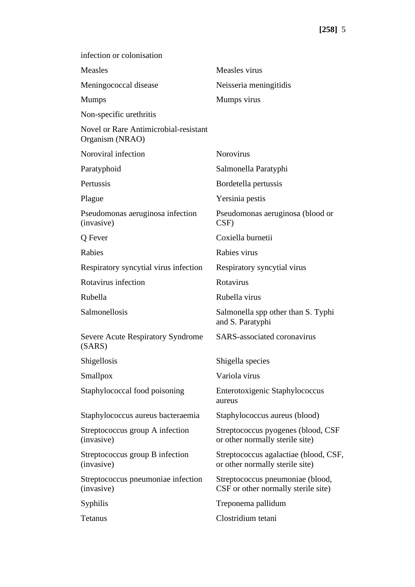| infection or colonisation                                       |                                                                          |
|-----------------------------------------------------------------|--------------------------------------------------------------------------|
| Measles                                                         | Measles virus                                                            |
| Meningococcal disease                                           | Neisseria meningitidis                                                   |
| <b>Mumps</b>                                                    | Mumps virus                                                              |
| Non-specific urethritis                                         |                                                                          |
| <b>Novel or Rare Antimicrobial-resistant</b><br>Organism (NRAO) |                                                                          |
| Noroviral infection                                             | Norovirus                                                                |
| Paratyphoid                                                     | Salmonella Paratyphi                                                     |
| Pertussis                                                       | Bordetella pertussis                                                     |
| Plague                                                          | Yersinia pestis                                                          |
| Pseudomonas aeruginosa infection<br>(invasive)                  | Pseudomonas aeruginosa (blood or<br>CSF)                                 |
| Q Fever                                                         | Coxiella burnetii                                                        |
| Rabies                                                          | Rabies virus                                                             |
| Respiratory syncytial virus infection                           | Respiratory syncytial virus                                              |
| Rotavirus infection                                             | Rotavirus                                                                |
| Rubella                                                         | Rubella virus                                                            |
| Salmonellosis                                                   | Salmonella spp other than S. Typhi<br>and S. Paratyphi                   |
| <b>Severe Acute Respiratory Syndrome</b><br>(SARS)              | <b>SARS-associated coronavirus</b>                                       |
| Shigellosis                                                     | Shigella species                                                         |
| Smallpox                                                        | Variola virus                                                            |
| Staphylococcal food poisoning                                   | Enterotoxigenic Staphylococcus<br>aureus                                 |
| Staphylococcus aureus bacteraemia                               | Staphylococcus aureus (blood)                                            |
| Streptococcus group A infection<br>(invasive)                   | Streptococcus pyogenes (blood, CSF<br>or other normally sterile site)    |
| Streptococcus group B infection<br>(invasive)                   | Streptococcus agalactiae (blood, CSF,<br>or other normally sterile site) |
| Streptococcus pneumoniae infection<br>(invasive)                | Streptococcus pneumoniae (blood,<br>CSF or other normally sterile site)  |
| Syphilis                                                        | Treponema pallidum                                                       |
| Tetanus                                                         | Clostridium tetani                                                       |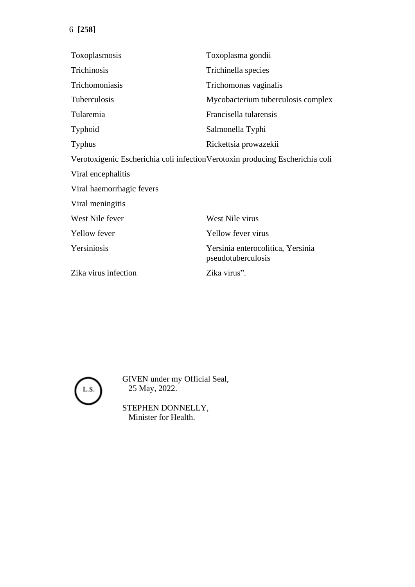| Toxoplasmosis                                                                 | Toxoplasma gondii                                       |
|-------------------------------------------------------------------------------|---------------------------------------------------------|
| Trichinosis                                                                   | Trichinella species                                     |
| Trichomoniasis                                                                | Trichomonas vaginalis                                   |
| Tuberculosis                                                                  | Mycobacterium tuberculosis complex                      |
| Tularemia                                                                     | Francisella tularensis                                  |
| Typhoid                                                                       | Salmonella Typhi                                        |
| <b>Typhus</b>                                                                 | Rickettsia prowazekii                                   |
| Verotoxigenic Escherichia coli infection Verotoxin producing Escherichia coli |                                                         |
| Viral encephalitis                                                            |                                                         |
| Viral haemorrhagic fevers                                                     |                                                         |
| Viral meningitis                                                              |                                                         |
| West Nile fever                                                               | West Nile virus                                         |
| Yellow fever                                                                  | <b>Yellow fever virus</b>                               |
| Yersiniosis                                                                   | Yersinia enterocolitica, Yersinia<br>pseudotuberculosis |
| Zika virus infection                                                          | Zika virus".                                            |



GIVEN under my Official Seal, 25 May, 2022.

STEPHEN DONNELLY, Minister for Health.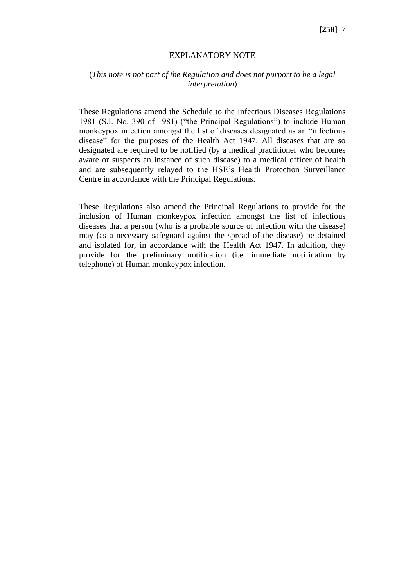#### EXPLANATORY NOTE

### (*This note is not part of the Regulation and does not purport to be a legal interpretation*)

These Regulations amend the Schedule to the Infectious Diseases Regulations 1981 (S.I. No. 390 of 1981) ("the Principal Regulations") to include Human monkeypox infection amongst the list of diseases designated as an "infectious disease" for the purposes of the Health Act 1947. All diseases that are so designated are required to be notified (by a medical practitioner who becomes aware or suspects an instance of such disease) to a medical officer of health and are subsequently relayed to the HSE's Health Protection Surveillance Centre in accordance with the Principal Regulations.

These Regulations also amend the Principal Regulations to provide for the inclusion of Human monkeypox infection amongst the list of infectious diseases that a person (who is a probable source of infection with the disease) may (as a necessary safeguard against the spread of the disease) be detained and isolated for, in accordance with the Health Act 1947. In addition, they provide for the preliminary notification (i.e. immediate notification by telephone) of Human monkeypox infection.